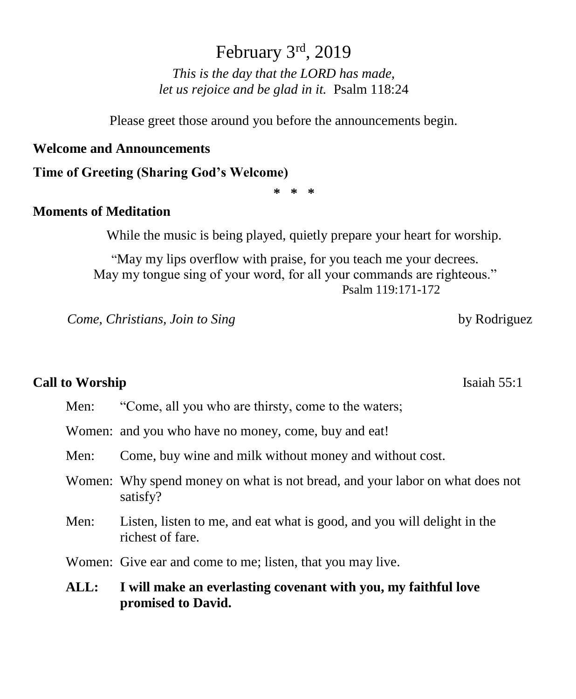## February 3rd, 2019

*This is the day that the LORD has made, let us rejoice and be glad in it.* Psalm 118:24

Please greet those around you before the announcements begin.

#### **Welcome and Announcements**

#### **Time of Greeting (Sharing God's Welcome)**

**\* \* \***

#### **Moments of Meditation**

While the music is being played, quietly prepare your heart for worship.

"May my lips overflow with praise, for you teach me your decrees. May my tongue sing of your word, for all your commands are righteous." Psalm 119:171-172

 *Come, Christians, Join to Sing* by Rodriguez

#### **Call to Worship Isaiah 55:1**

Men: "Come, all you who are thirsty, come to the waters;

Women: and you who have no money, come, buy and eat!

- Men: Come, buy wine and milk without money and without cost.
- Women: Why spend money on what is not bread, and your labor on what does not satisfy?
- Men: Listen, listen to me, and eat what is good, and you will delight in the richest of fare.

Women: Give ear and come to me; listen, that you may live.

### **ALL: I will make an everlasting covenant with you, my faithful love promised to David.**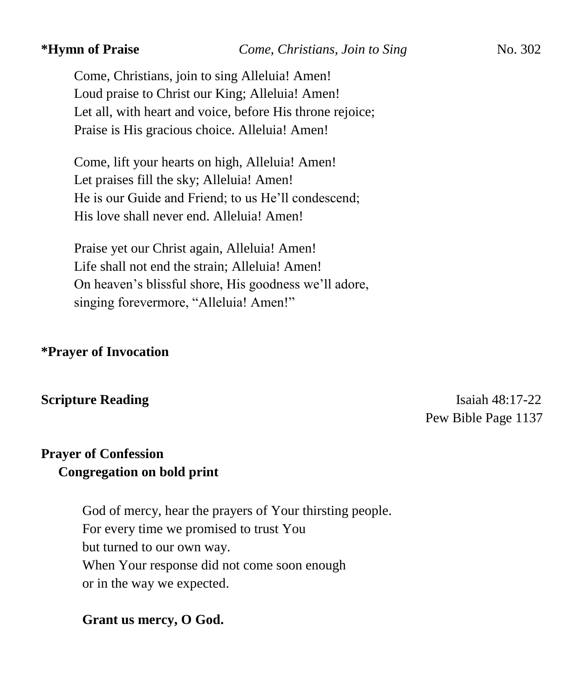Come, Christians, join to sing Alleluia! Amen! Loud praise to Christ our King; Alleluia! Amen! Let all, with heart and voice, before His throne rejoice; Praise is His gracious choice. Alleluia! Amen!

Come, lift your hearts on high, Alleluia! Amen! Let praises fill the sky; Alleluia! Amen! He is our Guide and Friend; to us He'll condescend; His love shall never end. Alleluia! Amen!

Praise yet our Christ again, Alleluia! Amen! Life shall not end the strain; Alleluia! Amen! On heaven's blissful shore, His goodness we'll adore, singing forevermore, "Alleluia! Amen!"

### **\*Prayer of Invocation**

**Scripture Reading Isaiah 48:17-22** Pew Bible Page 1137

### **Prayer of Confession Congregation on bold print**

God of mercy, hear the prayers of Your thirsting people. For every time we promised to trust You but turned to our own way. When Your response did not come soon enough or in the way we expected.

### **Grant us mercy, O God.**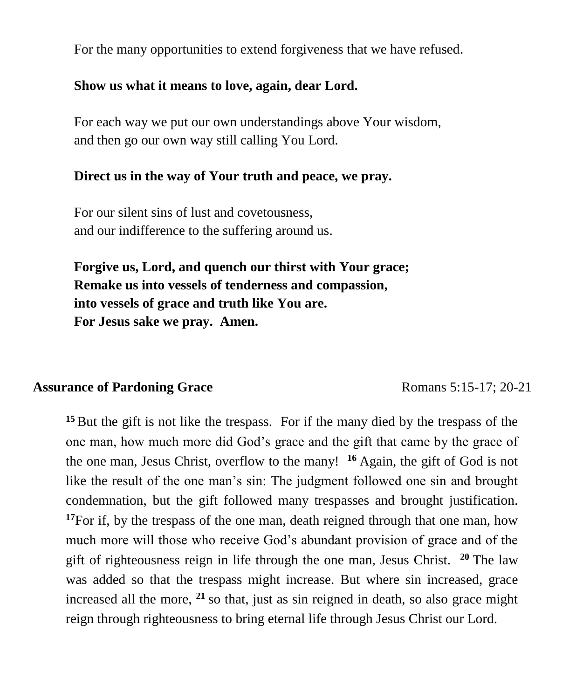For the many opportunities to extend forgiveness that we have refused.

#### **Show us what it means to love, again, dear Lord.**

For each way we put our own understandings above Your wisdom, and then go our own way still calling You Lord.

#### **Direct us in the way of Your truth and peace, we pray.**

For our silent sins of lust and covetousness, and our indifference to the suffering around us.

**Forgive us, Lord, and quench our thirst with Your grace; Remake us into vessels of tenderness and compassion, into vessels of grace and truth like You are. For Jesus sake we pray. Amen.**

#### **Assurance of Pardoning Grace** Romans 5:15-17; 20-21

**<sup>15</sup>**But the gift is not like the trespass. For if the many died by the trespass of the one man, how much more did God's grace and the gift that came by the grace of the one man, Jesus Christ, overflow to the many! **<sup>16</sup>**Again, the gift of God is not like the result of the one man's sin: The judgment followed one sin and brought condemnation, but the gift followed many trespasses and brought justification. <sup>17</sup>For if, by the trespass of the one man, death reigned through that one man, how much more will those who receive God's abundant provision of grace and of the gift of righteousness reign in life through the one man, Jesus Christ. **<sup>20</sup>**The law was added so that the trespass might increase. But where sin increased, grace increased all the more,  $21$  so that, just as sin reigned in death, so also grace might reign through righteousness to bring eternal life through Jesus Christ our Lord.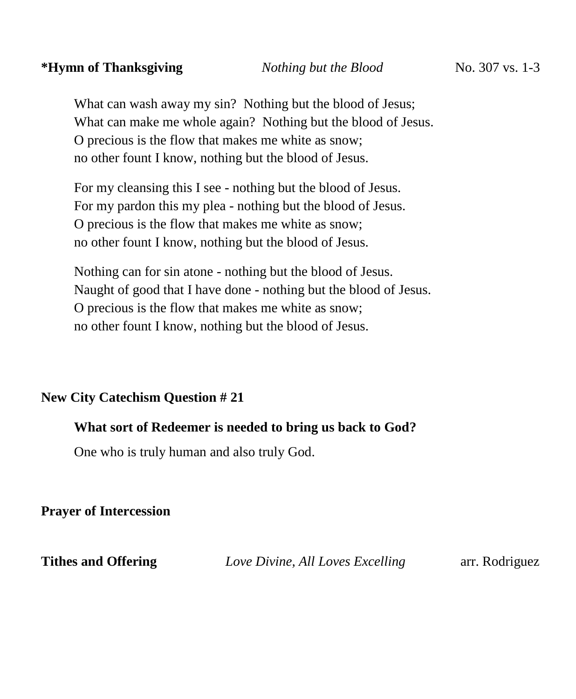#### **\*Hymn of Thanksgiving** *Nothing but the Blood*No. 307 vs. 1-3

What can wash away my sin? Nothing but the blood of Jesus; What can make me whole again? Nothing but the blood of Jesus. O precious is the flow that makes me white as snow; no other fount I know, nothing but the blood of Jesus.

For my cleansing this I see - nothing but the blood of Jesus. For my pardon this my plea - nothing but the blood of Jesus. O precious is the flow that makes me white as snow; no other fount I know, nothing but the blood of Jesus.

Nothing can for sin atone - nothing but the blood of Jesus. Naught of good that I have done - nothing but the blood of Jesus. O precious is the flow that makes me white as snow; no other fount I know, nothing but the blood of Jesus.

### **New City Catechism Question # 21**

#### **What sort of Redeemer is needed to bring us back to God?**

One who is truly human and also truly God.

**Prayer of Intercession**

**Tithes and Offering** *Love Divine, All Loves Excelling* arr. Rodriguez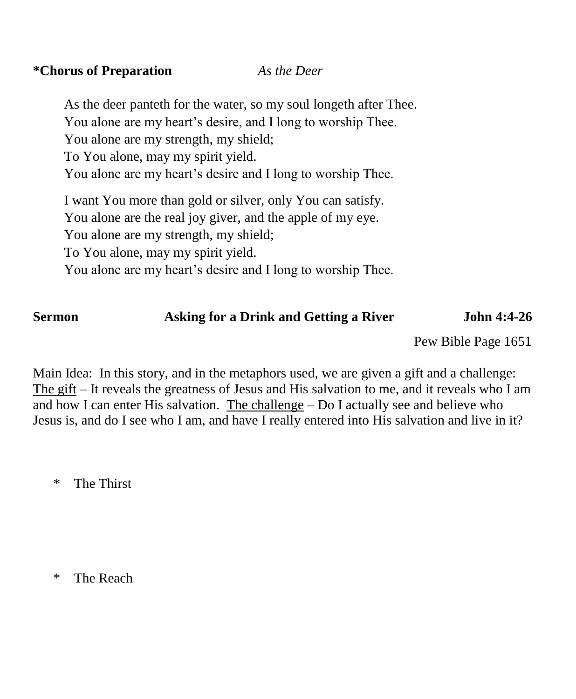#### **\*Chorus of Preparation** *As the Deer*

As the deer panteth for the water, so my soul longeth after Thee. You alone are my heart's desire, and I long to worship Thee. You alone are my strength, my shield; To You alone, may my spirit yield. You alone are my heart's desire and I long to worship Thee.

I want You more than gold or silver, only You can satisfy. You alone are the real joy giver, and the apple of my eye. You alone are my strength, my shield; To You alone, may my spirit yield. You alone are my heart's desire and I long to worship Thee.

### **Sermon Asking for a Drink and Getting a River** John 4:4-26

Pew Bible Page 1651

Main Idea: In this story, and in the metaphors used, we are given a gift and a challenge: The gift – It reveals the greatness of Jesus and His salvation to me, and it reveals who I am and how I can enter His salvation. The challenge – Do I actually see and believe who Jesus is, and do I see who I am, and have I really entered into His salvation and live in it?

\* The Thirst

\* The Reach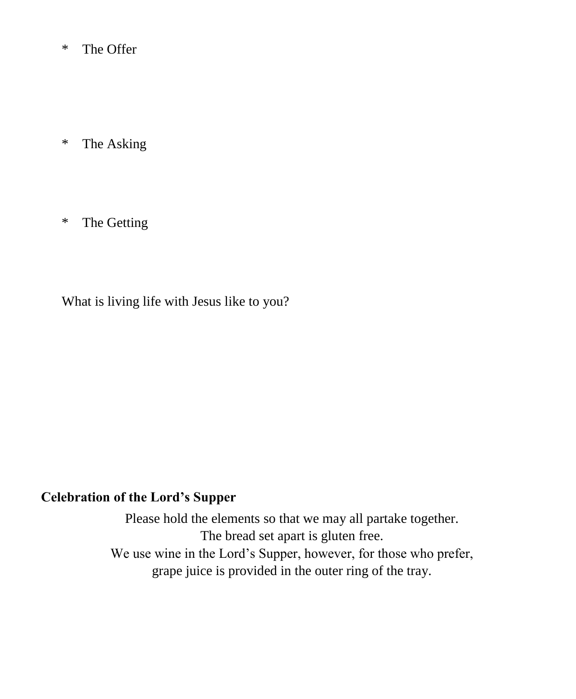\* The Offer

\* The Asking

\* The Getting

What is living life with Jesus like to you?

### **Celebration of the Lord's Supper**

Please hold the elements so that we may all partake together. The bread set apart is gluten free. We use wine in the Lord's Supper, however, for those who prefer, grape juice is provided in the outer ring of the tray.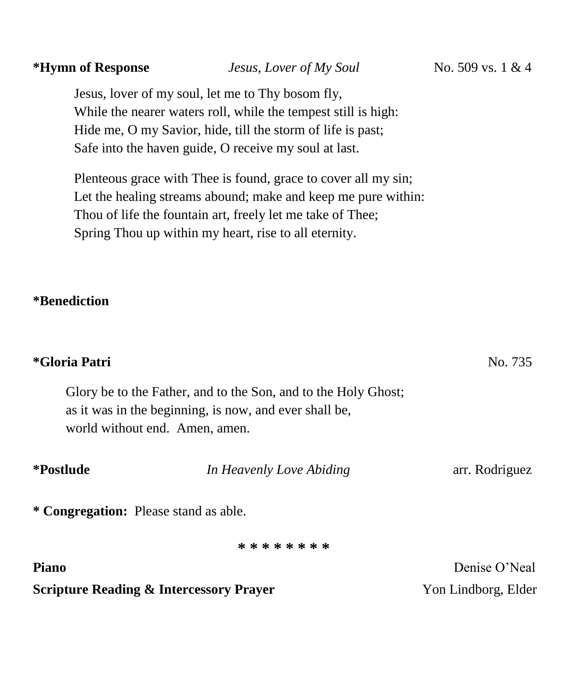#### **\*Hymn of Response** *Jesus, Lover of My Soul* No. 509 vs. 1 & 4

Jesus, lover of my soul, let me to Thy bosom fly, While the nearer waters roll, while the tempest still is high: Hide me, O my Savior, hide, till the storm of life is past; Safe into the haven guide, O receive my soul at last.

Plenteous grace with Thee is found, grace to cover all my sin; Let the healing streams abound; make and keep me pure within: Thou of life the fountain art, freely let me take of Thee; Spring Thou up within my heart, rise to all eternity.

#### **\*Benediction**

| <i>*Gloria Patri</i>                               |                                                                                                                                                            | No. 735             |
|----------------------------------------------------|------------------------------------------------------------------------------------------------------------------------------------------------------------|---------------------|
|                                                    | Glory be to the Father, and to the Son, and to the Holy Ghost;<br>as it was in the beginning, is now, and ever shall be,<br>world without end. Amen, amen. |                     |
| *Postlude                                          | In Heavenly Love Abiding                                                                                                                                   | arr. Rodriguez      |
| * Congregation: Please stand as able.              |                                                                                                                                                            |                     |
|                                                    | * * * * * * * *                                                                                                                                            |                     |
| Piano                                              |                                                                                                                                                            | Denise O'Neal       |
| <b>Scripture Reading &amp; Intercessory Prayer</b> |                                                                                                                                                            | Yon Lindborg, Elder |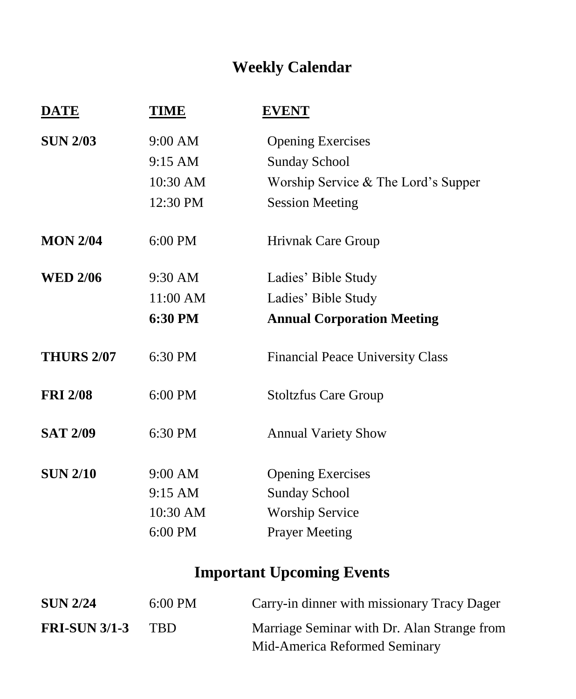## **Weekly Calendar**

| <b>DATE</b>       | <u>TIME</u>       | <b>EVENT</b>                            |
|-------------------|-------------------|-----------------------------------------|
| <b>SUN 2/03</b>   | 9:00 AM           | <b>Opening Exercises</b>                |
|                   | 9:15 AM           | <b>Sunday School</b>                    |
|                   | 10:30 AM          | Worship Service & The Lord's Supper     |
|                   | 12:30 PM          | <b>Session Meeting</b>                  |
| <b>MON 2/04</b>   | 6:00 PM           | Hrivnak Care Group                      |
| <b>WED 2/06</b>   | $9:30 \text{ AM}$ | Ladies' Bible Study                     |
|                   | 11:00 AM          | Ladies' Bible Study                     |
|                   | 6:30 PM           | <b>Annual Corporation Meeting</b>       |
| <b>THURS 2/07</b> | 6:30 PM           | <b>Financial Peace University Class</b> |
| <b>FRI 2/08</b>   | 6:00 PM           | <b>Stoltzfus Care Group</b>             |
| <b>SAT 2/09</b>   | 6:30 PM           | <b>Annual Variety Show</b>              |
| <b>SUN 2/10</b>   | 9:00 AM           | <b>Opening Exercises</b>                |
|                   | 9:15 AM           | <b>Sunday School</b>                    |
|                   | 10:30 AM          | <b>Worship Service</b>                  |
|                   | 6:00 PM           | <b>Prayer Meeting</b>                   |
|                   |                   |                                         |

# **Important Upcoming Events**

| <b>SUN 2/24</b>      | $6:00 \text{ PM}$ | Carry-in dinner with missionary Tracy Dager |
|----------------------|-------------------|---------------------------------------------|
| <b>FRI-SUN 3/1-3</b> | TBD.              | Marriage Seminar with Dr. Alan Strange from |
|                      |                   | Mid-America Reformed Seminary               |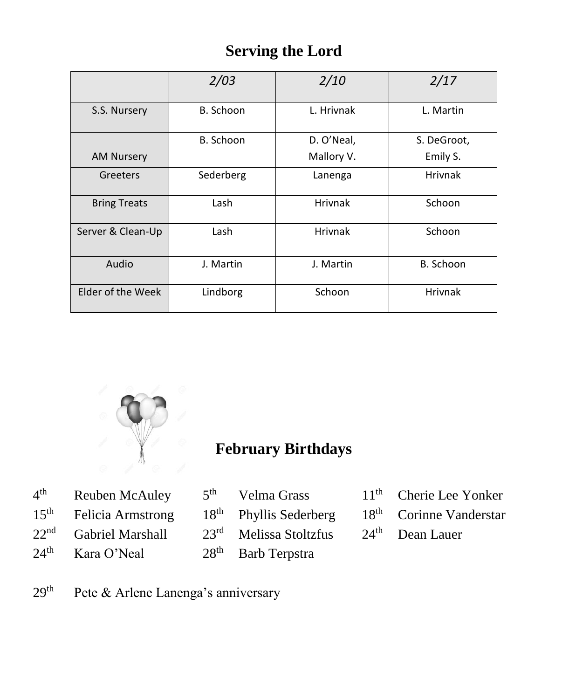## **Serving the Lord**

|                     | 2/03      | 2/10           | 2/17           |
|---------------------|-----------|----------------|----------------|
| S.S. Nursery        | B. Schoon | L. Hrivnak     | L. Martin      |
|                     | B. Schoon | D. O'Neal,     | S. DeGroot,    |
| <b>AM Nursery</b>   |           | Mallory V.     | Emily S.       |
| Greeters            | Sederberg | Lanenga        | <b>Hrivnak</b> |
| <b>Bring Treats</b> | Lash      | <b>Hrivnak</b> | Schoon         |
| Server & Clean-Up   | Lash      | <b>Hrivnak</b> | Schoon         |
| Audio               | J. Martin | J. Martin      | B. Schoon      |
| Elder of the Week   | Lindborg  | Schoon         | <b>Hrivnak</b> |



# **February Birthdays**

| $11th$ Cherie Lee Yonker                   |
|--------------------------------------------|
| 18 <sup>th</sup> Corinne Vanderstar        |
| $23rd$ Melissa Stoltzfus $24th$ Dean Lauer |
|                                            |
|                                            |

29<sup>th</sup> Pete & Arlene Lanenga's anniversary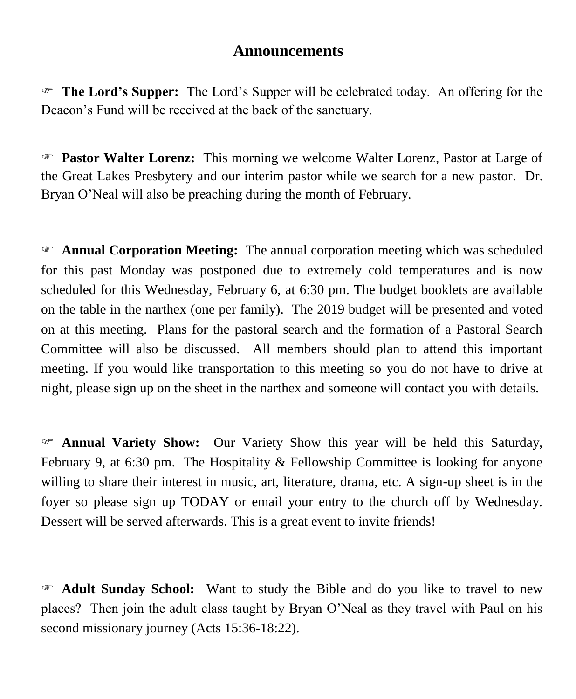#### **Announcements**

 **The Lord's Supper:** The Lord's Supper will be celebrated today. An offering for the Deacon's Fund will be received at the back of the sanctuary.

 **Pastor Walter Lorenz:** This morning we welcome Walter Lorenz, Pastor at Large of the Great Lakes Presbytery and our interim pastor while we search for a new pastor. Dr. Bryan O'Neal will also be preaching during the month of February.

 **Annual Corporation Meeting:** The annual corporation meeting which was scheduled for this past Monday was postponed due to extremely cold temperatures and is now scheduled for this Wednesday, February 6, at 6:30 pm. The budget booklets are available on the table in the narthex (one per family). The 2019 budget will be presented and voted on at this meeting. Plans for the pastoral search and the formation of a Pastoral Search Committee will also be discussed. All members should plan to attend this important meeting. If you would like transportation to this meeting so you do not have to drive at night, please sign up on the sheet in the narthex and someone will contact you with details.

 **Annual Variety Show:** Our Variety Show this year will be held this Saturday, February 9, at 6:30 pm. The Hospitality & Fellowship Committee is looking for anyone willing to share their interest in music, art, literature, drama, etc. A sign-up sheet is in the foyer so please sign up TODAY or email your entry to the church off by Wednesday. Dessert will be served afterwards. This is a great event to invite friends!

 **Adult Sunday School:** Want to study the Bible and do you like to travel to new places? Then join the adult class taught by Bryan O'Neal as they travel with Paul on his second missionary journey (Acts 15:36-18:22).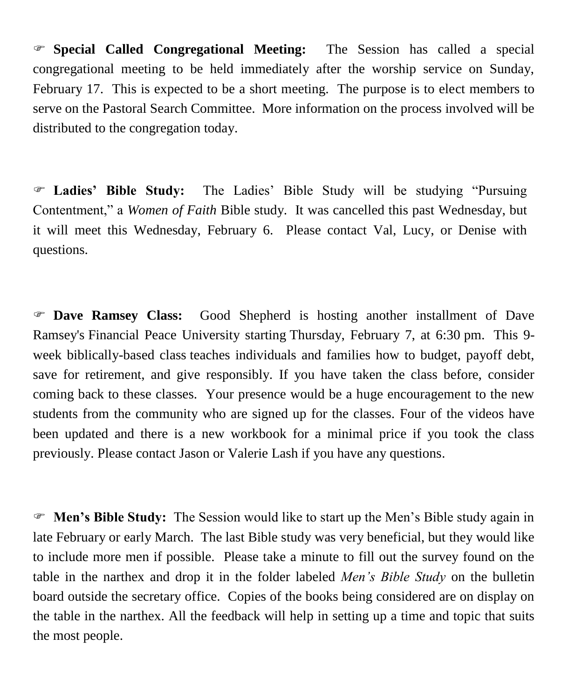**Special Called Congregational Meeting:** The Session has called a special congregational meeting to be held immediately after the worship service on Sunday, February 17. This is expected to be a short meeting. The purpose is to elect members to serve on the Pastoral Search Committee. More information on the process involved will be distributed to the congregation today.

 **Ladies' Bible Study:** The Ladies' Bible Study will be studying "Pursuing Contentment," a *Women of Faith* Bible study. It was cancelled this past Wednesday, but it will meet this Wednesday, February 6. Please contact Val, Lucy, or Denise with questions.

 **Dave Ramsey Class:** Good Shepherd is hosting another installment of Dave Ramsey's Financial Peace University starting Thursday, February 7, at 6:30 pm. This 9 week biblically-based class teaches individuals and families how to budget, payoff debt, save for retirement, and give responsibly. If you have taken the class before, consider coming back to these classes. Your presence would be a huge encouragement to the new students from the community who are signed up for the classes. Four of the videos have been updated and there is a new workbook for a minimal price if you took the class previously. Please contact Jason or Valerie Lash if you have any questions.

 **Men's Bible Study:** The Session would like to start up the Men's Bible study again in late February or early March. The last Bible study was very beneficial, but they would like to include more men if possible. Please take a minute to fill out the survey found on the table in the narthex and drop it in the folder labeled *Men's Bible Study* on the bulletin board outside the secretary office. Copies of the books being considered are on display on the table in the narthex. All the feedback will help in setting up a time and topic that suits the most people.